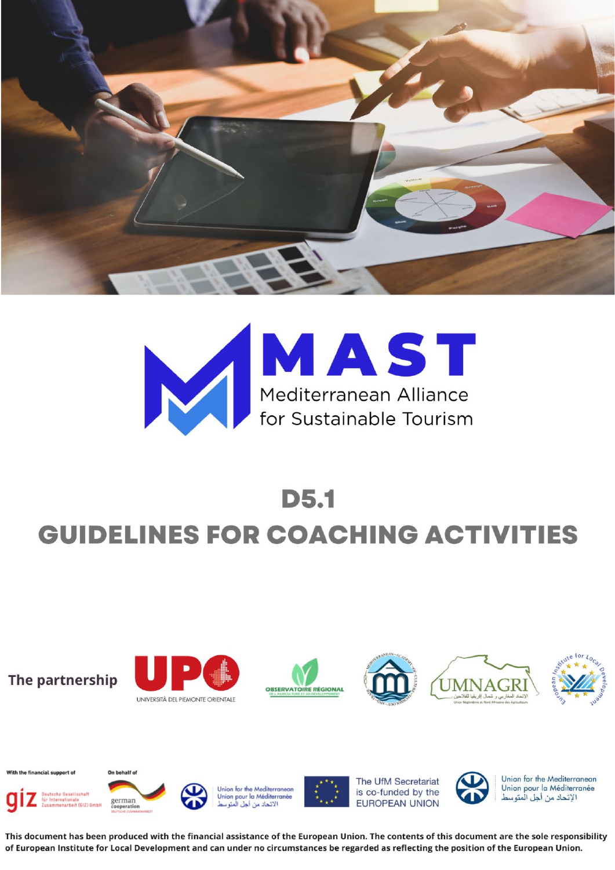



## **D5.1 GUIDELINES FOR COACHING ACTIVITIES**



Union for the Mediterranean

Union pour la Méditerranée

الإتحاد من أجل الْمتوسط



This document has been produced with the financial assistance of the European Union. The contents of this document are the sole responsibility of European Institute for Local Development and can under no circumstances be regarded as reflecting the position of the European Union.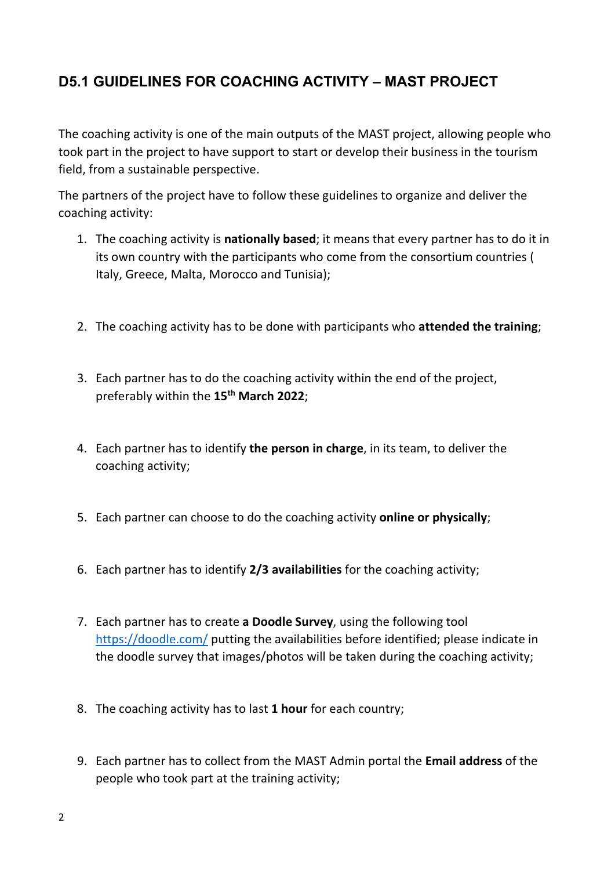## **D5.1 GUIDELINES FOR COACHING ACTIVITY – MAST PROJECT**

The coaching activity is one of the main outputs of the MAST project, allowing people who took part in the project to have support to start or develop their business in the tourism field, from a sustainable perspective.

The partners of the project have to follow these guidelines to organize and deliver the coaching activity:

- 1. The coaching activity is **nationally based**; it means that every partner has to do it in its own country with the participants who come from the consortium countries ( Italy, Greece, Malta, Morocco and Tunisia);
- 2. The coaching activity has to be done with participants who **attended the training**;
- 3. Each partner has to do the coaching activity within the end of the project, preferably within the **15th March 2022**;
- 4. Each partner has to identify **the person in charge**, in its team, to deliver the coaching activity;
- 5. Each partner can choose to do the coaching activity **online or physically**;
- 6. Each partner has to identify **2/3 availabilities** for the coaching activity;
- 7. Each partner has to create **a Doodle Survey**, using the following tool <https://doodle.com/> putting the availabilities before identified; please indicate in the doodle survey that images/photos will be taken during the coaching activity;
- 8. The coaching activity has to last **1 hour** for each country;
- 9. Each partner has to collect from the MAST Admin portal the **Email address** of the people who took part at the training activity;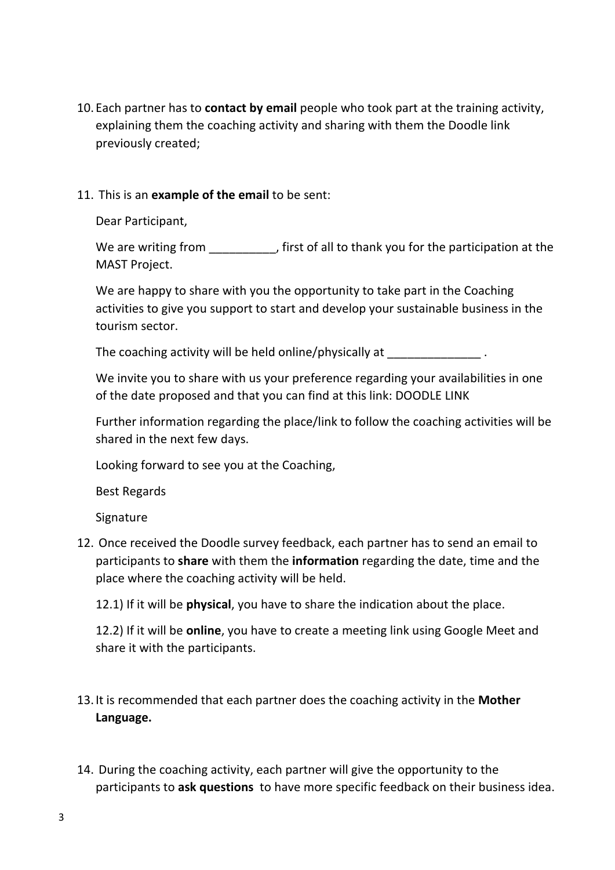10.Each partner has to **contact by email** people who took part at the training activity, explaining them the coaching activity and sharing with them the Doodle link previously created;

## 11. This is an **example of the email** to be sent:

Dear Participant,

We are writing from  $\qquad \qquad$ , first of all to thank you for the participation at the MAST Project.

We are happy to share with you the opportunity to take part in the Coaching activities to give you support to start and develop your sustainable business in the tourism sector.

The coaching activity will be held online/physically at  $\qquad \qquad$ .

We invite you to share with us your preference regarding your availabilities in one of the date proposed and that you can find at this link: DOODLE LINK

Further information regarding the place/link to follow the coaching activities will be shared in the next few days.

Looking forward to see you at the Coaching,

Best Regards

Signature

12. Once received the Doodle survey feedback, each partner has to send an email to participants to **share** with them the **information** regarding the date, time and the place where the coaching activity will be held.

12.1) If it will be **physical**, you have to share the indication about the place.

12.2) If it will be **online**, you have to create a meeting link using Google Meet and share it with the participants.

- 13.It is recommended that each partner does the coaching activity in the **Mother Language.**
- 14. During the coaching activity, each partner will give the opportunity to the participants to **ask questions** to have more specific feedback on their business idea.